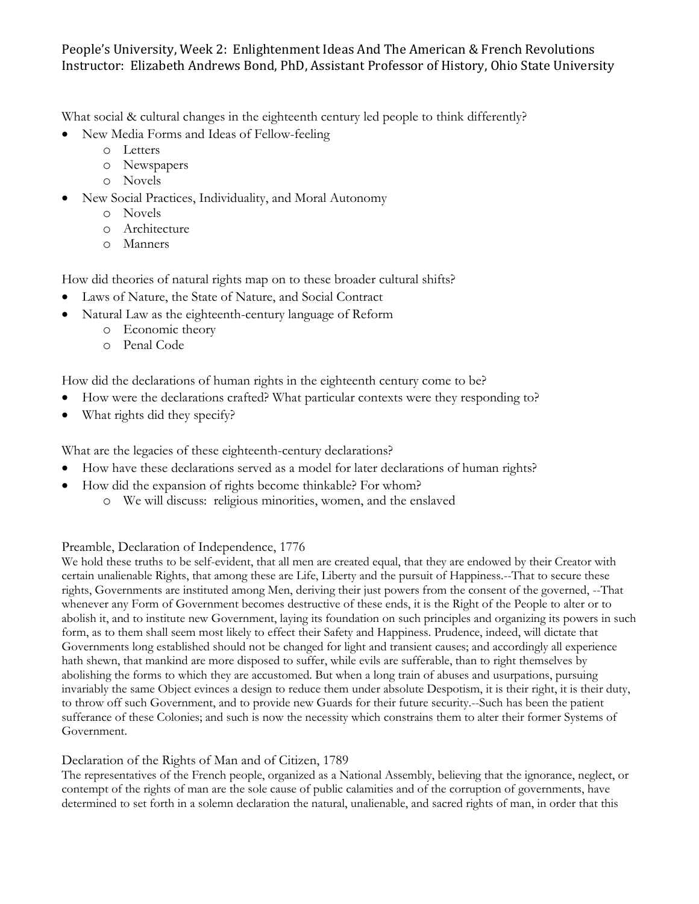## People's University, Week 2: Enlightenment Ideas And The American & French Revolutions Instructor: Elizabeth Andrews Bond, PhD, Assistant Professor of History, Ohio State University

What social & cultural changes in the eighteenth century led people to think differently?

- New Media Forms and Ideas of Fellow-feeling
	- o Letters
	- o Newspapers
	- o Novels
- New Social Practices, Individuality, and Moral Autonomy
	- o Novels
	- o Architecture
	- o Manners

How did theories of natural rights map on to these broader cultural shifts?

- Laws of Nature, the State of Nature, and Social Contract
- Natural Law as the eighteenth-century language of Reform
	- o Economic theory
	- o Penal Code

How did the declarations of human rights in the eighteenth century come to be?

- How were the declarations crafted? What particular contexts were they responding to?
- What rights did they specify?

What are the legacies of these eighteenth-century declarations?

- How have these declarations served as a model for later declarations of human rights?
	- How did the expansion of rights become thinkable? For whom?
		- o We will discuss: religious minorities, women, and the enslaved

## Preamble, Declaration of Independence, 1776

We hold these truths to be self-evident, that all men are created equal, that they are endowed by their Creator with certain unalienable Rights, that among these are Life, Liberty and the pursuit of Happiness.--That to secure these rights, Governments are instituted among Men, deriving their just powers from the consent of the governed, --That whenever any Form of Government becomes destructive of these ends, it is the Right of the People to alter or to abolish it, and to institute new Government, laying its foundation on such principles and organizing its powers in such form, as to them shall seem most likely to effect their Safety and Happiness. Prudence, indeed, will dictate that Governments long established should not be changed for light and transient causes; and accordingly all experience hath shewn, that mankind are more disposed to suffer, while evils are sufferable, than to right themselves by abolishing the forms to which they are accustomed. But when a long train of abuses and usurpations, pursuing invariably the same Object evinces a design to reduce them under absolute Despotism, it is their right, it is their duty, to throw off such Government, and to provide new Guards for their future security.--Such has been the patient sufferance of these Colonies; and such is now the necessity which constrains them to alter their former Systems of Government.

## Declaration of the Rights of Man and of Citizen, 1789

The representatives of the French people, organized as a National Assembly, believing that the ignorance, neglect, or contempt of the rights of man are the sole cause of public calamities and of the corruption of governments, have determined to set forth in a solemn declaration the natural, unalienable, and sacred rights of man, in order that this